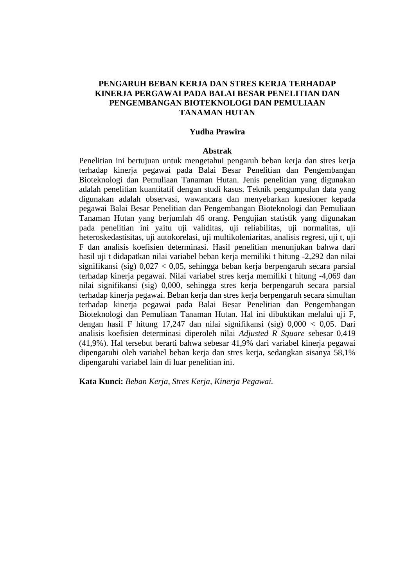# **PENGARUH BEBAN KERJA DAN STRES KERJA TERHADAP KINERJA PERGAWAI PADA BALAI BESAR PENELITIAN DAN PENGEMBANGAN BIOTEKNOLOGI DAN PEMULIAAN TANAMAN HUTAN**

### **Yudha Prawira**

### **Abstrak**

Penelitian ini bertujuan untuk mengetahui pengaruh beban kerja dan stres kerja terhadap kinerja pegawai pada Balai Besar Penelitian dan Pengembangan Bioteknologi dan Pemuliaan Tanaman Hutan. Jenis penelitian yang digunakan adalah penelitian kuantitatif dengan studi kasus. Teknik pengumpulan data yang digunakan adalah observasi, wawancara dan menyebarkan kuesioner kepada pegawai Balai Besar Penelitian dan Pengembangan Bioteknologi dan Pemuliaan Tanaman Hutan yang berjumlah 46 orang. Pengujian statistik yang digunakan pada penelitian ini yaitu uji validitas, uji reliabilitas, uji normalitas, uji heteroskedastisitas, uji autokorelasi, uji multikoleniaritas, analisis regresi, uji t, uji F dan analisis koefisien determinasi. Hasil penelitian menunjukan bahwa dari hasil uji t didapatkan nilai variabel beban kerja memiliki t hitung -2,292 dan nilai signifikansi (sig) 0,027 < 0,05, sehingga beban kerja berpengaruh secara parsial terhadap kinerja pegawai. Nilai variabel stres kerja memiliki t hitung -4,069 dan nilai signifikansi (sig) 0,000, sehingga stres kerja berpengaruh secara parsial terhadap kinerja pegawai. Beban kerja dan stres kerja berpengaruh secara simultan terhadap kinerja pegawai pada Balai Besar Penelitian dan Pengembangan Bioteknologi dan Pemuliaan Tanaman Hutan. Hal ini dibuktikan melalui uji F, dengan hasil F hitung 17,247 dan nilai signifikansi (sig) 0,000 < 0,05. Dari analisis koefisien determinasi diperoleh nilai *Adjusted R Square* sebesar 0,419 (41,9%). Hal tersebut berarti bahwa sebesar 41,9% dari variabel kinerja pegawai dipengaruhi oleh variabel beban kerja dan stres kerja, sedangkan sisanya 58,1% dipengaruhi variabel lain di luar penelitian ini.

**Kata Kunci:** *Beban Kerja, Stres Kerja, Kinerja Pegawai.*